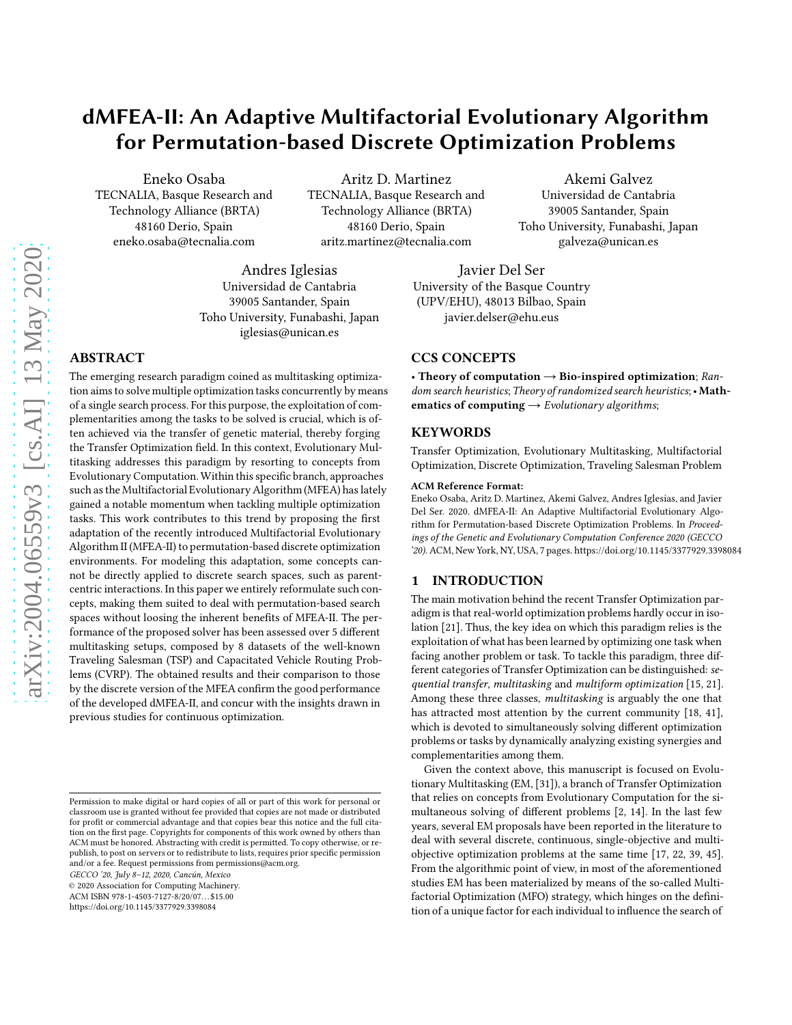# dMFEA-II: An Adaptive Multifactorial Evolutionary Algorithm for Permutation-based Discrete Optimization Problems

Eneko Osaba TECNALIA, Basque Research and Technology Alliance (BRTA) 48160 Derio, Spain eneko.osaba@tecnalia.com

Aritz D. Martinez TECNALIA, Basque Research and Technology Alliance (BRTA) 48160 Derio, Spain aritz.martinez@tecnalia.com

Akemi Galvez Universidad de Cantabria 39005 Santander, Spain Toho University, Funabashi, Japan galveza@unican.es

Andres Iglesias Universidad de Cantabria 39005 Santander, Spain Toho University, Funabashi, Japan iglesias@unican.es

# ABSTRACT

The emerging research paradigm coined as multitasking optimization aims to solve multiple optimization tasks concurrently by means of a single search process. For this purpose, the exploitation of complementarities among the tasks to be solved is crucial, which is often achieved via the transfer of genetic material, thereby forging the Transfer Optimization field. In this context, Evolutionary Multitasking addresses this paradigm by resorting to concepts from Evolutionary Computation.Within this specific branch, approaches such as the Multifactorial Evolutionary Algorithm (MFEA) has lately gained a notable momentum when tackling multiple optimization tasks. This work contributes to this trend by proposing the first adaptation of the recently introduced Multifactorial Evolutionary Algorithm II (MFEA-II) to permutation-based discrete optimization environments. For modeling this adaptation, some concepts cannot be directly applied to discrete search spaces, such as parentcentric interactions. In this paper we entirely reformulate such concepts, making them suited to deal with permutation-based search spaces without loosing the inherent benefits of MFEA-II. The performance of the proposed solver has been assessed over 5 different multitasking setups, composed by 8 datasets of the well-known Traveling Salesman (TSP) and Capacitated Vehicle Routing Problems (CVRP). The obtained results and their comparison to those by the discrete version of the MFEA confirm the good performance of the developed dMFEA-II, and concur with the insights drawn in previous studies for continuous optimization.

GECCO '20, July 8–12, 2020, Cancún, Mexico

© 2020 Association for Computing Machinery.

ACM ISBN 978-1-4503-7127-8/20/07. . . \$15.00

<https://doi.org/10.1145/3377929.3398084>

Javier Del Ser University of the Basque Country (UPV/EHU), 48013 Bilbao, Spain javier.delser@ehu.eus

# CCS CONCEPTS

• Theory of computation  $\rightarrow$  Bio-inspired optimization; Random search heuristics; Theory of randomized search heuristics; • Mathematics of computing  $\rightarrow$  Evolutionary algorithms;

#### KEYWORDS

Transfer Optimization, Evolutionary Multitasking, Multifactorial Optimization, Discrete Optimization, Traveling Salesman Problem

#### ACM Reference Format:

Eneko Osaba, Aritz D. Martinez, Akemi Galvez, Andres Iglesias, and Javier Del Ser. 2020. dMFEA-II: An Adaptive Multifactorial Evolutionary Algorithm for Permutation-based Discrete Optimization Problems. In Proceedings of the Genetic and Evolutionary Computation Conference 2020 (GECCO '20).ACM, New York, NY, USA, [7](#page-6-0) pages.<https://doi.org/10.1145/3377929.3398084>

# 1 INTRODUCTION

The main motivation behind the recent Transfer Optimization paradigm is that real-world optimization problems hardly occur in isolation [\[21\]](#page-6-1). Thus, the key idea on which this paradigm relies is the exploitation of what has been learned by optimizing one task when facing another problem or task. To tackle this paradigm, three different categories of Transfer Optimization can be distinguished: sequential transfer, multitasking and multiform optimization [\[15](#page-6-2), [21\]](#page-6-1). Among these three classes, multitasking is arguably the one that has attracted most attention by the current community [\[18,](#page-6-3) [41](#page-6-4)], which is devoted to simultaneously solving different optimization problems or tasks by dynamically analyzing existing synergies and complementarities among them.

Given the context above, this manuscript is focused on Evolutionary Multitasking (EM, [\[31\]](#page-6-5)), a branch of Transfer Optimization that relies on concepts from Evolutionary Computation for the simultaneous solving of different problems [\[2](#page-5-0), [14\]](#page-6-6). In the last few years, several EM proposals have been reported in the literature to deal with several discrete, continuous, single-objective and multiobjective optimization problems at the same time [\[17](#page-6-7), [22](#page-6-8), [39](#page-6-9), [45\]](#page-6-10). From the algorithmic point of view, in most of the aforementioned studies EM has been materialized by means of the so-called Multifactorial Optimization (MFO) strategy, which hinges on the definition of a unique factor for each individual to influence the search of

Permission to make digital or hard copies of all or part of this work for personal or classroom use is granted without fee provided that copies are not made or distributed for profit or commercial advantage and that copies bear this notice and the full citation on the first page. Copyrights for components of this work owned by others than ACM must be honored. Abstracting with credit is permitted. To copy otherwise, or republish, to post on servers or to redistribute to lists, requires prior specific permission and/or a fee. Request permissions from permissions@acm.org.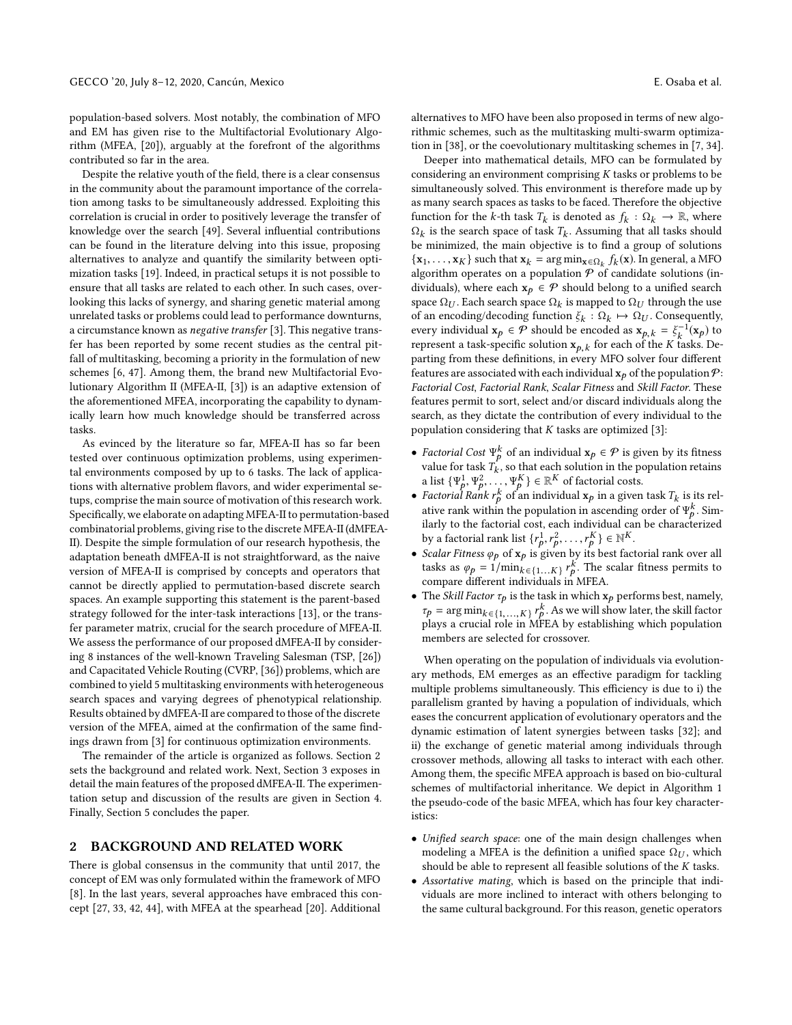population-based solvers. Most notably, the combination of MFO and EM has given rise to the Multifactorial Evolutionary Algorithm (MFEA, [\[20](#page-6-11)]), arguably at the forefront of the algorithms contributed so far in the area.

Despite the relative youth of the field, there is a clear consensus in the community about the paramount importance of the correlation among tasks to be simultaneously addressed. Exploiting this correlation is crucial in order to positively leverage the transfer of knowledge over the search [\[49\]](#page-6-12). Several influential contributions can be found in the literature delving into this issue, proposing alternatives to analyze and quantify the similarity between optimization tasks [\[19](#page-6-13)]. Indeed, in practical setups it is not possible to ensure that all tasks are related to each other. In such cases, overlooking this lacks of synergy, and sharing genetic material among unrelated tasks or problems could lead to performance downturns, a circumstance known as negative transfer [\[3\]](#page-5-1). This negative transfer has been reported by some recent studies as the central pitfall of multitasking, becoming a priority in the formulation of new schemes [\[6,](#page-5-2) [47\]](#page-6-14). Among them, the brand new Multifactorial Evolutionary Algorithm II (MFEA-II, [\[3\]](#page-5-1)) is an adaptive extension of the aforementioned MFEA, incorporating the capability to dynamically learn how much knowledge should be transferred across tasks.

As evinced by the literature so far, MFEA-II has so far been tested over continuous optimization problems, using experimental environments composed by up to 6 tasks. The lack of applications with alternative problem flavors, and wider experimental setups, comprise the main source of motivation of this research work. Specifically, we elaborate on adapting MFEA-II to permutation-based combinatorial problems, giving rise to the discrete MFEA-II (dMFEA-II). Despite the simple formulation of our research hypothesis, the adaptation beneath dMFEA-II is not straightforward, as the naive version of MFEA-II is comprised by concepts and operators that cannot be directly applied to permutation-based discrete search spaces. An example supporting this statement is the parent-based strategy followed for the inter-task interactions [\[13](#page-6-15)], or the transfer parameter matrix, crucial for the search procedure of MFEA-II. We assess the performance of our proposed dMFEA-II by considering 8 instances of the well-known Traveling Salesman (TSP, [\[26\]](#page-6-16)) and Capacitated Vehicle Routing (CVRP, [\[36](#page-6-17)]) problems, which are combined to yield 5 multitasking environments with heterogeneous search spaces and varying degrees of phenotypical relationship. Results obtained by dMFEA-II are compared to those of the discrete version of the MFEA, aimed at the confirmation of the same findings drawn from [\[3](#page-5-1)] for continuous optimization environments.

The remainder of the article is organized as follows. Section [2](#page-1-0) sets the background and related work. Next, Section [3](#page-2-0) exposes in detail the main features of the proposed dMFEA-II. The experimentation setup and discussion of the results are given in Section [4.](#page-4-0) Finally, Section [5](#page-5-3) concludes the paper.

### <span id="page-1-0"></span>2 BACKGROUND AND RELATED WORK

There is global consensus in the community that until 2017, the concept of EM was only formulated within the framework of MFO [\[8](#page-6-18)]. In the last years, several approaches have embraced this concept [\[27](#page-6-19), [33,](#page-6-20) [42](#page-6-21), [44](#page-6-22)], with MFEA at the spearhead [\[20\]](#page-6-11). Additional

alternatives to MFO have been also proposed in terms of new algorithmic schemes, such as the multitasking multi-swarm optimization in [\[38\]](#page-6-23), or the coevolutionary multitasking schemes in [\[7](#page-6-24), [34\]](#page-6-25).

Deeper into mathematical details, MFO can be formulated by considering an environment comprising K tasks or problems to be simultaneously solved. This environment is therefore made up by as many search spaces as tasks to be faced. Therefore the objective function for the k-th task  $T_k$  is denoted as  $f_k : \Omega_k \to \mathbb{R}$ , where  $\Omega_k$  is the search space of task  $T_k$ . Assuming that all tasks should be minimized, the main objective is to find a group of solutions  $\{x_1, \ldots, x_K\}$  such that  $x_k = \arg \min_{x \in \Omega_k} f_k(x)$ . In general, a MFO algorithm operates on a population  $P$  of candidate solutions (individuals), where each  $x_p \in \mathcal{P}$  should belong to a unified search space  $\Omega_U$ . Each search space  $\Omega_k$  is mapped to  $\Omega_U$  through the use of an encoding/decoding function  $\xi_k : \Omega_k \mapsto \Omega_U$ . Consequently, every individual  $\mathbf{x}_p \in \mathcal{P}$  should be encoded as  $\mathbf{x}_{p,k} = \xi_k^{-1}(\mathbf{x}_p)$  to represent a task-specific solution  $\mathbf{x}_{p,k}$  for each of the K tasks. Departing from these definitions, in every MFO solver four different features are associated with each individual  $x_p$  of the population  $\mathcal{P}$ : Factorial Cost, Factorial Rank, Scalar Fitness and Skill Factor. These features permit to sort, select and/or discard individuals along the search, as they dictate the contribution of every individual to the population considering that  $K$  tasks are optimized  $[3]$ :

- Factorial Cost  $\Psi_p^k$  of an individual  $\mathbf{x}_p \in \mathcal{P}$  is given by its fitness value for task  $T_k$ , so that each solution in the population retains a list  $\{\Psi_p^1, \Psi_p^2, \ldots, \Psi_p^K\} \in \mathbb{R}^K$  of factorial costs.
- Factorial Rank  $r_p^k$  of an individual  $\mathbf{x}_p$  in a given task  $T_k$  is its relative rank within the population in ascending order of  $\Psi_p^k$ . Similarly to the factorial cost, each individual can be characterized by a factorial rank list  $\{r_p^1, r_p^2, \ldots, r_p^K\} \in \mathbb{N}^K$ .
- Scalar Fitness  $\varphi_p$  of  $\mathbf{x}_p$  is given by its best factorial rank over all tasks as  $\varphi_p = 1/\min_{k \in \{1...K\}} r_p^k$ . The scalar fitness permits to compare different individuals in MFEA.
- The Skill Factor  $\tau_p$  is the task in which  $x_p$  performs best, namely,  $\tau_p = \arg \min_{k \in \{1, ..., K\}} r_p^k$ . As we will show later, the skill factor plays a crucial role in MFEA by establishing which population members are selected for crossover.

When operating on the population of individuals via evolutionary methods, EM emerges as an effective paradigm for tackling multiple problems simultaneously. This efficiency is due to i) the parallelism granted by having a population of individuals, which eases the concurrent application of evolutionary operators and the dynamic estimation of latent synergies between tasks [\[32\]](#page-6-26); and ii) the exchange of genetic material among individuals through crossover methods, allowing all tasks to interact with each other. Among them, the specific MFEA approach is based on bio-cultural schemes of multifactorial inheritance. We depict in Algorithm [1](#page-2-1) the pseudo-code of the basic MFEA, which has four key characteristics:

- Unified search space: one of the main design challenges when modeling a MFEA is the definition a unified space  $\Omega_U$ , which should be able to represent all feasible solutions of the  $K$  tasks.
- Assortative mating, which is based on the principle that individuals are more inclined to interact with others belonging to the same cultural background. For this reason, genetic operators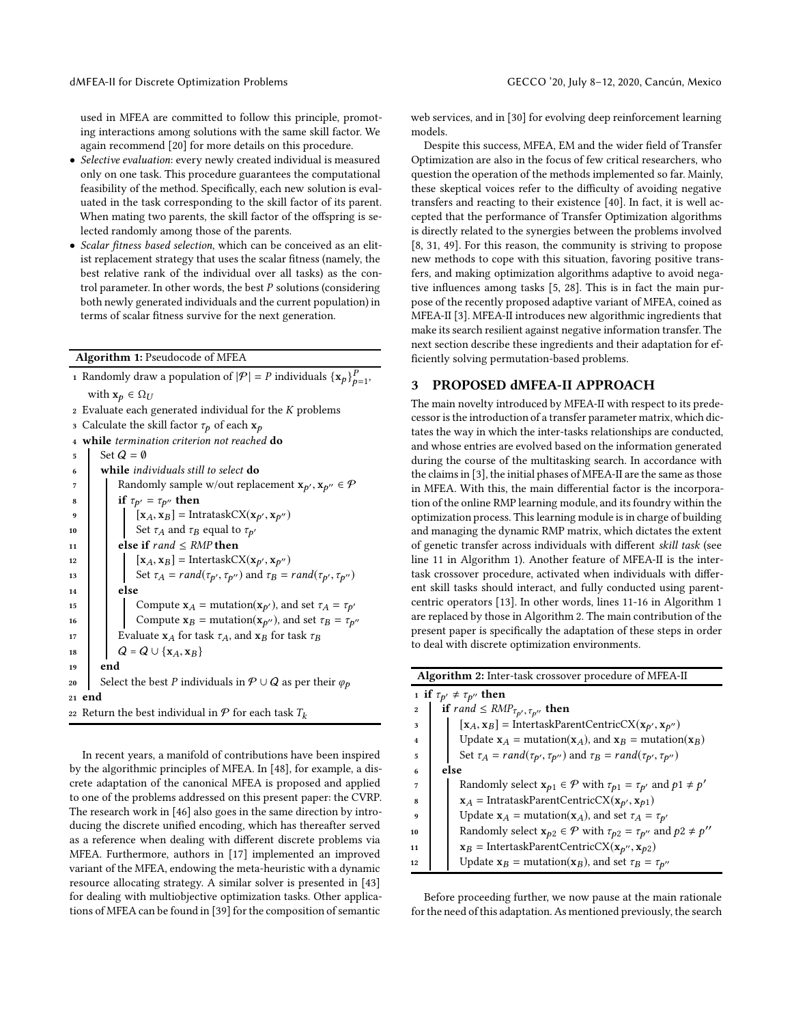used in MFEA are committed to follow this principle, promoting interactions among solutions with the same skill factor. We again recommend [\[20\]](#page-6-11) for more details on this procedure.

- Selective evaluation: every newly created individual is measured only on one task. This procedure guarantees the computational feasibility of the method. Specifically, each new solution is evaluated in the task corresponding to the skill factor of its parent. When mating two parents, the skill factor of the offspring is selected randomly among those of the parents.
- Scalar fitness based selection, which can be conceived as an elitist replacement strategy that uses the scalar fitness (namely, the best relative rank of the individual over all tasks) as the control parameter. In other words, the best  $P$  solutions (considering both newly generated individuals and the current population) in terms of scalar fitness survive for the next generation.

Algorithm 1: Pseudocode of MFEA

|    | 1 Randomly draw a population of $ \mathcal{P}  = P$ individuals $\{\mathbf{x}_p\}_{p=1}^P$ , |  |  |  |  |  |  |
|----|----------------------------------------------------------------------------------------------|--|--|--|--|--|--|
|    | with $\mathbf{x}_p \in \Omega_U$                                                             |  |  |  |  |  |  |
|    | 2 Evaluate each generated individual for the K problems                                      |  |  |  |  |  |  |
|    | 3 Calculate the skill factor $\tau_p$ of each $\mathbf{x}_p$                                 |  |  |  |  |  |  |
|    | 4 while termination criterion not reached do                                                 |  |  |  |  |  |  |
| 5  | Set $Q = \emptyset$                                                                          |  |  |  |  |  |  |
| 6  | while <i>individuals</i> still to select <b>do</b>                                           |  |  |  |  |  |  |
| 7  | Randomly sample w/out replacement $\mathbf{x}_{p'}, \mathbf{x}_{p''} \in \mathcal{P}$        |  |  |  |  |  |  |
| 8  | if $\tau_{p'} = \tau_{p''}$ then                                                             |  |  |  |  |  |  |
| 9  | $[x_A, x_B]$ = IntrataskCX( $x_{p'}, x_{p''}$ )                                              |  |  |  |  |  |  |
| 10 | Set $\tau_A$ and $\tau_B$ equal to $\tau_{p'}$                                               |  |  |  |  |  |  |
| 11 | else if $rand \leq RMP$ then                                                                 |  |  |  |  |  |  |
| 12 | $[\mathbf{x}_A, \mathbf{x}_B] = \text{InterestaskCX}(\mathbf{x}_{p'}, \mathbf{x}_{p''})$     |  |  |  |  |  |  |
| 13 | Set $\tau_A = rand(\tau_{p'}, \tau_{p''})$ and $\tau_B = rand(\tau_{p'}, \tau_{p''})$        |  |  |  |  |  |  |
| 14 | else                                                                                         |  |  |  |  |  |  |
| 15 | Compute $\mathbf{x}_A$ = mutation( $\mathbf{x}_{p'}$ ), and set $\tau_A = \tau_{p'}$         |  |  |  |  |  |  |
| 16 | Compute $x_B$ = mutation( $x_{p''}$ ), and set $\tau_B = \tau_{p''}$                         |  |  |  |  |  |  |
| 17 | Evaluate $x_A$ for task $\tau_A$ , and $x_B$ for task $\tau_B$                               |  |  |  |  |  |  |
| 18 | $Q = Q \cup \{x_A, x_B\}$                                                                    |  |  |  |  |  |  |
| 19 | end                                                                                          |  |  |  |  |  |  |
| 20 | Select the best <i>P</i> individuals in $P \cup Q$ as per their $\varphi_p$                  |  |  |  |  |  |  |
|    | 21 end                                                                                       |  |  |  |  |  |  |
|    | 22 Return the best individual in $P$ for each task $T_k$                                     |  |  |  |  |  |  |
|    |                                                                                              |  |  |  |  |  |  |
|    |                                                                                              |  |  |  |  |  |  |

<span id="page-2-1"></span>In recent years, a manifold of contributions have been inspired by the algorithmic principles of MFEA. In [\[48\]](#page-6-27), for example, a discrete adaptation of the canonical MFEA is proposed and applied to one of the problems addressed on this present paper: the CVRP. The research work in [\[46\]](#page-6-28) also goes in the same direction by introducing the discrete unified encoding, which has thereafter served as a reference when dealing with different discrete problems via MFEA. Furthermore, authors in [\[17](#page-6-7)] implemented an improved variant of the MFEA, endowing the meta-heuristic with a dynamic resource allocating strategy. A similar solver is presented in [\[43\]](#page-6-29) for dealing with multiobjective optimization tasks. Other applications of MFEA can be found in [\[39](#page-6-9)] for the composition of semantic

web services, and in [\[30\]](#page-6-30) for evolving deep reinforcement learning models.

Despite this success, MFEA, EM and the wider field of Transfer Optimization are also in the focus of few critical researchers, who question the operation of the methods implemented so far. Mainly, these skeptical voices refer to the difficulty of avoiding negative transfers and reacting to their existence [\[40\]](#page-6-31). In fact, it is well accepted that the performance of Transfer Optimization algorithms is directly related to the synergies between the problems involved [\[8](#page-6-18), [31,](#page-6-5) [49\]](#page-6-12). For this reason, the community is striving to propose new methods to cope with this situation, favoring positive transfers, and making optimization algorithms adaptive to avoid negative influences among tasks [\[5,](#page-5-4) [28\]](#page-6-32). This is in fact the main purpose of the recently proposed adaptive variant of MFEA, coined as MFEA-II [\[3](#page-5-1)]. MFEA-II introduces new algorithmic ingredients that make its search resilient against negative information transfer. The next section describe these ingredients and their adaptation for efficiently solving permutation-based problems.

# <span id="page-2-0"></span>3 PROPOSED dMFEA-II APPROACH

The main novelty introduced by MFEA-II with respect to its predecessor is the introduction of a transfer parameter matrix, which dictates the way in which the inter-tasks relationships are conducted, and whose entries are evolved based on the information generated during the course of the multitasking search. In accordance with the claims in [\[3](#page-5-1)], the initial phases of MFEA-II are the same as those in MFEA. With this, the main differential factor is the incorporation of the online RMP learning module, and its foundry within the optimization process. This learning module is in charge of building and managing the dynamic RMP matrix, which dictates the extent of genetic transfer across individuals with different skill task (see line 11 in Algorithm [1\)](#page-2-1). Another feature of MFEA-II is the intertask crossover procedure, activated when individuals with different skill tasks should interact, and fully conducted using parentcentric operators [\[13\]](#page-6-15). In other words, lines 11-16 in Algorithm [1](#page-2-1) are replaced by those in Algorithm [2.](#page-2-2) The main contribution of the present paper is specifically the adaptation of these steps in order to deal with discrete optimization environments.

| Algorithm 2: Inter-task crossover procedure of MFEA-II |  |
|--------------------------------------------------------|--|
|--------------------------------------------------------|--|

|                  | 1 if $\tau_{p'} \neq \tau_{p''}$ then                                                             |  |  |  |  |  |
|------------------|---------------------------------------------------------------------------------------------------|--|--|--|--|--|
| $\boldsymbol{2}$ | if rand $\leq RMP_{\tau_{p'}, \tau_{p''}}$ then                                                   |  |  |  |  |  |
| 3                | $[x_A, x_B]$ = IntertaskParentCentricCX( $x_{p'}, x_{p''}$ )                                      |  |  |  |  |  |
| $\mathbf{4}$     | Update $x_A$ = mutation( $x_A$ ), and $x_B$ = mutation( $x_B$ )                                   |  |  |  |  |  |
| 5                | Set $\tau_A = rand(\tau_{p'}, \tau_{p''})$ and $\tau_B = rand(\tau_{p'}, \tau_{p''})$             |  |  |  |  |  |
| 6                | else                                                                                              |  |  |  |  |  |
| 7                | Randomly select $x_{p1} \in \mathcal{P}$ with $\tau_{p1} = \tau_{p'}$ and $p1 \neq p'$            |  |  |  |  |  |
| 8                | $x_A$ = IntrataskParentCentricCX( $x_{p'}, x_{p1}$ )                                              |  |  |  |  |  |
| 9                | Update $x_A$ = mutation( $x_A$ ), and set $\tau_A = \tau_{p'}$                                    |  |  |  |  |  |
| 10               | Randomly select $\mathbf{x}_{p2} \in \mathcal{P}$ with $\tau_{p2} = \tau_{p''}$ and $p2 \neq p''$ |  |  |  |  |  |
| 11               | $x_B$ = IntertaskParentCentricCX( $x_{p''}, x_{p2}$ )                                             |  |  |  |  |  |
| 12               | Update $x_B$ = mutation( $x_B$ ), and set $\tau_B = \tau_{p''}$                                   |  |  |  |  |  |

<span id="page-2-2"></span>Before proceeding further, we now pause at the main rationale for the need of this adaptation. As mentioned previously, the search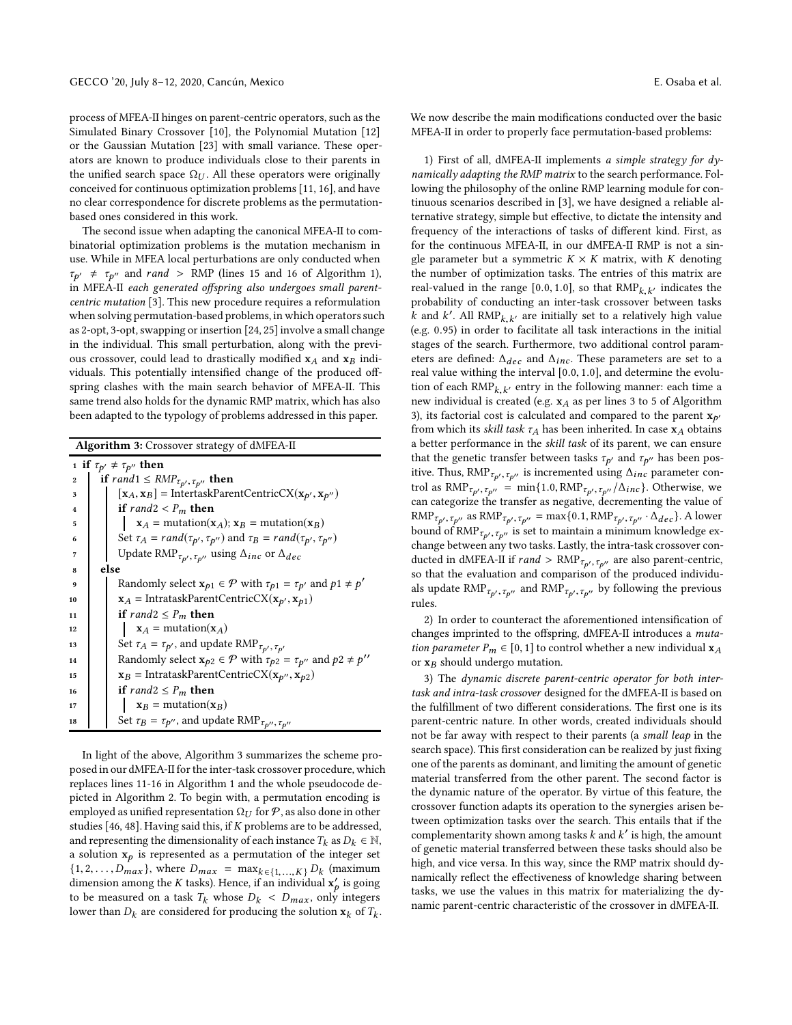process of MFEA-II hinges on parent-centric operators, such as the Simulated Binary Crossover [\[10\]](#page-6-33), the Polynomial Mutation [\[12\]](#page-6-34) or the Gaussian Mutation [\[23](#page-6-35)] with small variance. These operators are known to produce individuals close to their parents in the unified search space  $\Omega_{U}$ . All these operators were originally conceived for continuous optimization problems [\[11,](#page-6-36) [16\]](#page-6-37), and have no clear correspondence for discrete problems as the permutationbased ones considered in this work.

The second issue when adapting the canonical MFEA-II to combinatorial optimization problems is the mutation mechanism in use. While in MFEA local perturbations are only conducted when  $\tau_{p'} \neq \tau_{p''}$  and rand > RMP (lines 15 and 16 of Algorithm [1\)](#page-2-1), in MFEA-II each generated offspring also undergoes small parentcentric mutation [\[3](#page-5-1)]. This new procedure requires a reformulation when solving permutation-based problems, in which operators such as 2-opt, 3-opt, swapping or insertion [\[24](#page-6-38), [25](#page-6-39)] involve a small change in the individual. This small perturbation, along with the previous crossover, could lead to drastically modified  $x_A$  and  $x_B$  individuals. This potentially intensified change of the produced offspring clashes with the main search behavior of MFEA-II. This same trend also holds for the dynamic RMP matrix, which has also been adapted to the typology of problems addressed in this paper.

Algorithm 3: Crossover strategy of dMFEA-II 1 if  $\tau_{p'} \neq \tau_{p''}$  then 2 if rand $1 \leq RMP_{\tau_{p'}, \tau_{p''}}$  then<br>3  $\left[\begin{array}{c} x_A, x_B \end{array}\right] = \text{InterestaskP}$  $\mathbf{x}_A = [\mathbf{x}_A, \mathbf{x}_B] = \text{IntertaskParentCentricCX}(\mathbf{x}_{p'}, \mathbf{x}_{p''})$ 4 if rand  $2 < P_m$  then  $\mathbf{x}_A = \text{mutation}(\mathbf{x}_A); \mathbf{x}_B = \text{mutation}(\mathbf{x}_B)$ 6 Set  $\tau_A = rand(\tau_{p'}, \tau_{p''})$  and  $\tau_B = rand(\tau_{p'}, \tau_{p''})$ 7 Update RMP<sub>τρ′</sub>, <sub>τρ′′</sub> using  $\Delta_{inc}$  or  $\Delta_{dec}$ <sup>8</sup> else **P** with  $\tau_{p1} = \tau_{p'}$  and  $p1 \neq p'$ 10  $\mathbf{x}_A = \text{IntractaskParentCentricCX}(\mathbf{x}_{p'}, \mathbf{x}_{p1})$ 11 if rand  $2 \le P_m$  then 12  $\mathbf{x}_A$  = mutation( $\mathbf{x}_A$ ) 13 Set  $\tau_A = \tau_{p'}$ , and update RMP<sub> $\tau_{p'}, \tau_{p'}$ </sub> 14 Randomly select  $\mathbf{x}_{p2} \in \mathcal{P}$  with  $\tau_{p2} = \tau_{p''}$  and  $p2 \neq p''$ 15  $x_B$  = IntrataskParentCentricCX( $x_{p''}, x_{p2}$ ) 16 if  $rand2 \le P_m$  then 17  $x_B = \text{mutation}(x_B)$ 18 Set  $\tau_B = \tau_{p''}$ , and update RMP $_{\tau_{p''}}$ ,  $_{\tau_{p''}}$ 

<span id="page-3-0"></span>In light of the above, Algorithm [3](#page-3-0) summarizes the scheme proposed in our dMFEA-II for the inter-task crossover procedure, which replaces lines 11-16 in Algorithm [1](#page-2-1) and the whole pseudocode depicted in Algorithm [2.](#page-2-2) To begin with, a permutation encoding is employed as unified representation  $\Omega_U$  for  $P$ , as also done in other studies [\[46,](#page-6-28) [48\]](#page-6-27). Having said this, if K problems are to be addressed, and representing the dimensionality of each instance  $T_k$  as  $D_k \in \mathbb{N}$ , a solution  $x_p$  is represented as a permutation of the integer set  $\{1, 2, \ldots, D_{max}\}\$ , where  $D_{max} = \max_{k \in \{1, \ldots, K\}} D_k$  (maximum dimension among the *K* tasks). Hence, if an individual  $\mathbf{x}'_p$  is going to be measured on a task  $T_k$  whose  $D_k < D_{max}$ , only integers lower than  $D_k$  are considered for producing the solution  $\mathbf{x}_k$  of  $T_k$ .

We now describe the main modifications conducted over the basic MFEA-II in order to properly face permutation-based problems:

1) First of all, dMFEA-II implements a simple strategy for  $dy$ namically adapting the RMP matrix to the search performance. Following the philosophy of the online RMP learning module for continuous scenarios described in [\[3\]](#page-5-1), we have designed a reliable alternative strategy, simple but effective, to dictate the intensity and frequency of the interactions of tasks of different kind. First, as for the continuous MFEA-II, in our dMFEA-II RMP is not a single parameter but a symmetric  $K \times K$  matrix, with K denoting the number of optimization tasks. The entries of this matrix are real-valued in the range [0.0, 1.0], so that  $\text{RMP}_{k,k'}$  indicates the probability of conducting an inter-task crossover between tasks k and k'. All  $RMP_{k,k'}$  are initially set to a relatively high value (e.g. 0.95) in order to facilitate all task interactions in the initial stages of the search. Furthermore, two additional control parameters are defined:  $\Delta_{dec}$  and  $\Delta_{inc}$ . These parameters are set to a real value withing the interval [0.0, 1.0], and determine the evolution of each  $\text{RMP}_{k,k'}$  entry in the following manner: each time a new individual is created (e.g.  $\mathbf{x}_A$  as per lines 3 to 5 of Algorithm [3\)](#page-3-0), its factorial cost is calculated and compared to the parent  $\mathbf{x}_{p'}$ from which its *skill task*  $\tau_A$  has been inherited. In case  $x_A$  obtains a better performance in the skill task of its parent, we can ensure that the genetic transfer between tasks  $\tau_{p'}$  and  $\tau_{p''}$  has been positive. Thus, RMP<sub> $\tau_{p'}$ ,  $\tau_{p''}$  is incremented using  $\Delta_{inc}$  parameter con-</sub> trol as RMP $_{\tau_{p'}, \tau_{p''}}$  = min{1.0, RMP $_{\tau_{p'}, \tau_{p''}}/\Delta_{inc}$ }. Otherwise, we can categorize the transfer as negative, decrementing the value of RMP<sub> $\tau_{p'}$ ,  $\tau_{p''}$  as RMP $\tau_{p'}, \tau_{p''} = \max\{0.1, \text{RMP}_{\tau_{p'}}, \tau_{p''} \cdot \Delta_{dec}\}.$  A lower</sub> bound of RMP $_{\tau_{p'},\tau_{p''}}$  is set to maintain a minimum knowledge exchange between any two tasks. Lastly, the intra-task crossover conducted in dMFEA-II if  $rand > \text{RMP}_{\tau_{p'}, \tau_{p''}}$  are also parent-centric, so that the evaluation and comparison of the produced individuals update  $\text{RMP}_{\tau_{p'}, \tau_{p''}}$  and  $\text{RMP}_{\tau_{p'}, \tau_{p''}}$  by following the previous rules.

2) In order to counteract the aforementioned intensification of changes imprinted to the offspring, dMFEA-II introduces a mutation parameter  $P_m \in [0, 1]$  to control whether a new individual  $x_A$ or  $x_B$  should undergo mutation.

3) The dynamic discrete parent-centric operator for both intertask and intra-task crossover designed for the dMFEA-II is based on the fulfillment of two different considerations. The first one is its parent-centric nature. In other words, created individuals should not be far away with respect to their parents (a small leap in the search space). This first consideration can be realized by just fixing one of the parents as dominant, and limiting the amount of genetic material transferred from the other parent. The second factor is the dynamic nature of the operator. By virtue of this feature, the crossover function adapts its operation to the synergies arisen between optimization tasks over the search. This entails that if the complementarity shown among tasks  $k$  and  $k'$  is high, the amount of genetic material transferred between these tasks should also be high, and vice versa. In this way, since the RMP matrix should dynamically reflect the effectiveness of knowledge sharing between tasks, we use the values in this matrix for materializing the dynamic parent-centric characteristic of the crossover in dMFEA-II.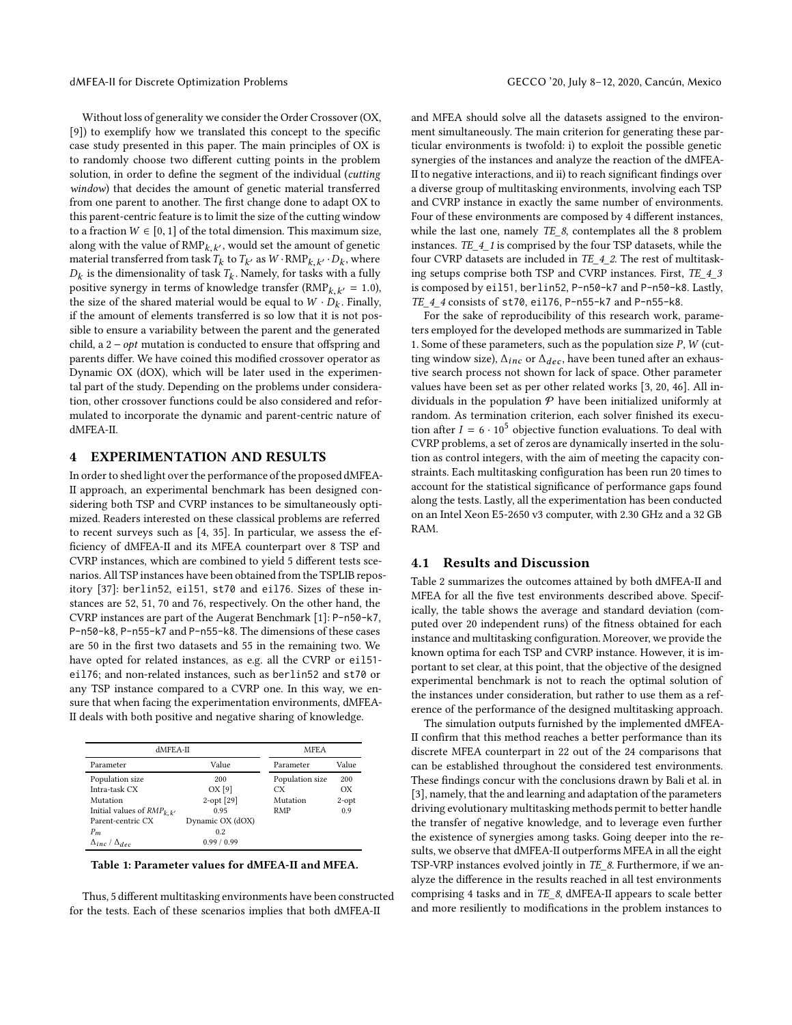Without loss of generality we consider the Order Crossover (OX, [\[9](#page-6-40)]) to exemplify how we translated this concept to the specific case study presented in this paper. The main principles of OX is to randomly choose two different cutting points in the problem solution, in order to define the segment of the individual (cutting window) that decides the amount of genetic material transferred from one parent to another. The first change done to adapt OX to this parent-centric feature is to limit the size of the cutting window to a fraction  $W \in [0, 1]$  of the total dimension. This maximum size, along with the value of  $\text{RMP}_{k,k'}$ , would set the amount of genetic material transferred from task  $T_k$  to  $T_{k'}$  as  $W \cdot \text{RMP}_{k,k'} \cdot D_k$ , where  $D_k$  is the dimensionality of task  $T_k$ . Namely, for tasks with a fully positive synergy in terms of knowledge transfer  $(RMP_{k,k'} = 1.0)$ , the size of the shared material would be equal to  $W \cdot D_k$ . Finally, if the amount of elements transferred is so low that it is not possible to ensure a variability between the parent and the generated child, a  $2 - opt$  mutation is conducted to ensure that offspring and parents differ. We have coined this modified crossover operator as Dynamic OX (dOX), which will be later used in the experimental part of the study. Depending on the problems under consideration, other crossover functions could be also considered and reformulated to incorporate the dynamic and parent-centric nature of dMFEA-II.

#### <span id="page-4-0"></span>4 EXPERIMENTATION AND RESULTS

In order to shed light over the performance of the proposed dMFEA-II approach, an experimental benchmark has been designed considering both TSP and CVRP instances to be simultaneously optimized. Readers interested on these classical problems are referred to recent surveys such as [\[4,](#page-5-5) [35\]](#page-6-41). In particular, we assess the efficiency of dMFEA-II and its MFEA counterpart over 8 TSP and CVRP instances, which are combined to yield 5 different tests scenarios. All TSP instances have been obtained from the TSPLIB repository [\[37\]](#page-6-42): berlin52, eil51, st70 and eil76. Sizes of these instances are 52, 51, 70 and 76, respectively. On the other hand, the CVRP instances are part of the Augerat Benchmark [\[1\]](#page-5-6): P-n50-k7, P-n50-k8, P-n55-k7 and P-n55-k8. The dimensions of these cases are 50 in the first two datasets and 55 in the remaining two. We have opted for related instances, as e.g. all the CVRP or eil51 eil76; and non-related instances, such as berlin52 and st70 or any TSP instance compared to a CVRP one. In this way, we ensure that when facing the experimentation environments, dMFEA-II deals with both positive and negative sharing of knowledge.

<span id="page-4-1"></span>

| $dMFEA-II$                     | <b>MFEA</b>      |                 |          |
|--------------------------------|------------------|-----------------|----------|
| Parameter                      | Value            | Parameter       | Value    |
| Population size                | 200              | Population size | 200      |
| Intra-task CX                  | OX[9]            | CX.             | OX       |
| Mutation                       | $2$ -opt $[29]$  | Mutation        | $2$ -opt |
| Initial values of $RMP_{k,k'}$ | 0.95             | <b>RMP</b>      | 0.9      |
| Parent-centric CX              | Dynamic OX (dOX) |                 |          |
| $P_m$                          | 0.2              |                 |          |
| $\Delta_{inc}/\Delta_{dec}$    | 0.99/0.99        |                 |          |

Table 1: Parameter values for dMFEA-II and MFEA.

Thus, 5 different multitasking environments have been constructed for the tests. Each of these scenarios implies that both dMFEA-II

and MFEA should solve all the datasets assigned to the environment simultaneously. The main criterion for generating these particular environments is twofold: i) to exploit the possible genetic synergies of the instances and analyze the reaction of the dMFEA-II to negative interactions, and ii) to reach significant findings over a diverse group of multitasking environments, involving each TSP and CVRP instance in exactly the same number of environments. Four of these environments are composed by 4 different instances, while the last one, namely  $TE\$ 8, contemplates all the 8 problem instances. TE\_4\_1 is comprised by the four TSP datasets, while the four CVRP datasets are included in TE\_4\_2. The rest of multitasking setups comprise both TSP and CVRP instances. First, TE\_4\_3 is composed by eil51, berlin52, P-n50-k7 and P-n50-k8. Lastly, TE\_4\_4 consists of st70, eil76, P-n55-k7 and P-n55-k8.

For the sake of reproducibility of this research work, parameters employed for the developed methods are summarized in Table [1.](#page-4-1) Some of these parameters, such as the population size  $P$ ,  $W$  (cutting window size),  $\Delta_{inc}$  or  $\Delta_{dec}$ , have been tuned after an exhaustive search process not shown for lack of space. Other parameter values have been set as per other related works [\[3,](#page-5-1) [20,](#page-6-11) [46](#page-6-28)]. All individuals in the population  $P$  have been initialized uniformly at random. As termination criterion, each solver finished its execution after  $I = 6 \cdot 10^5$  objective function evaluations. To deal with CVRP problems, a set of zeros are dynamically inserted in the solution as control integers, with the aim of meeting the capacity constraints. Each multitasking configuration has been run 20 times to account for the statistical significance of performance gaps found along the tests. Lastly, all the experimentation has been conducted on an Intel Xeon E5-2650 v3 computer, with 2.30 GHz and a 32 GB RAM.

#### 4.1 Results and Discussion

Table [2](#page-5-7) summarizes the outcomes attained by both dMFEA-II and MFEA for all the five test environments described above. Specifically, the table shows the average and standard deviation (computed over 20 independent runs) of the fitness obtained for each instance and multitasking configuration. Moreover, we provide the known optima for each TSP and CVRP instance. However, it is important to set clear, at this point, that the objective of the designed experimental benchmark is not to reach the optimal solution of the instances under consideration, but rather to use them as a reference of the performance of the designed multitasking approach.

The simulation outputs furnished by the implemented dMFEA-II confirm that this method reaches a better performance than its discrete MFEA counterpart in 22 out of the 24 comparisons that can be established throughout the considered test environments. These findings concur with the conclusions drawn by Bali et al. in [\[3](#page-5-1)], namely, that the and learning and adaptation of the parameters driving evolutionary multitasking methods permit to better handle the transfer of negative knowledge, and to leverage even further the existence of synergies among tasks. Going deeper into the results, we observe that dMFEA-II outperforms MFEA in all the eight TSP-VRP instances evolved jointly in TE\_8. Furthermore, if we analyze the difference in the results reached in all test environments comprising 4 tasks and in TE\_8, dMFEA-II appears to scale better and more resiliently to modifications in the problem instances to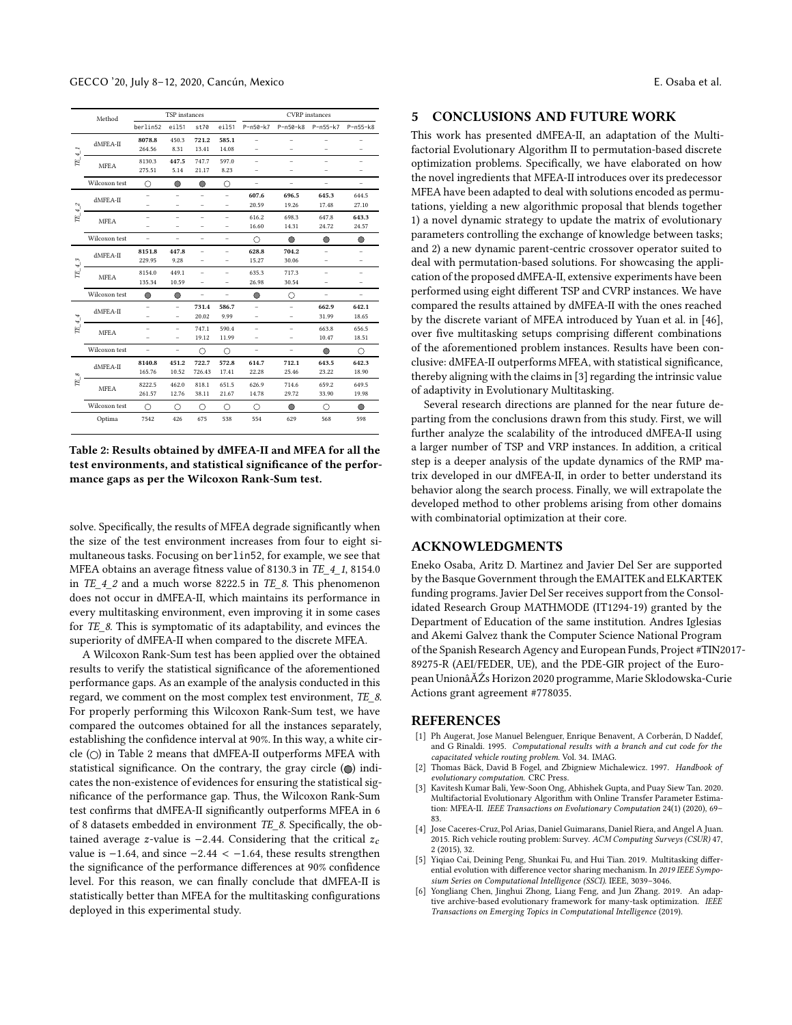<span id="page-5-7"></span>

|                         | TSP instances<br>Method |          |                          | <b>CVRP</b> instances    |                          |                          |                          |                          |                          |
|-------------------------|-------------------------|----------|--------------------------|--------------------------|--------------------------|--------------------------|--------------------------|--------------------------|--------------------------|
|                         |                         | berlin52 | ei151                    | st70                     | ei151                    | $P - n50 - k7$           | $P - n50 - k8$           | P-n55-k7                 | $P - n55 - k8$           |
|                         | dMFEA-II                | 8078.8   | 450.3                    | 721.2                    | 585.1                    | $\overline{\phantom{0}}$ |                          |                          |                          |
| $\overline{\mathbf{r}}$ |                         | 264.56   | 8.31                     | 13.41                    | 14.08                    | ۳                        |                          |                          |                          |
| $E^{'}$                 | <b>MFEA</b>             | 8130.3   | 447.5                    | 747.7                    | 597.0                    | ÷                        | ۳                        | ۳                        | ÷                        |
|                         |                         | 275.51   | 5.14                     | 21.17                    | 8.23                     | ۳                        |                          |                          |                          |
|                         | Wilcoxon test           | ∩        | $\circ$                  | $\circ$                  | О                        | ÷.                       | $\overline{a}$           | ۳                        | $\overline{\phantom{0}}$ |
|                         | $dMFEA-II$              |          | $\overline{\phantom{0}}$ | $\overline{\phantom{0}}$ | $\overline{a}$           | 607.6                    | 696.5                    | 645.3                    | 644.5                    |
| $\sim$<br>÷             |                         |          | $\overline{\phantom{0}}$ | $\overline{\phantom{0}}$ | $\overline{\phantom{0}}$ | 20.59                    | 19.26                    | 17.48                    | 27.10                    |
| E,                      | <b>MFEA</b>             | ۳        | $\overline{\phantom{0}}$ | $\overline{\phantom{0}}$ | $\overline{\phantom{0}}$ | 616.2                    | 698.3                    | 647.8                    | 643.3                    |
|                         |                         |          | $\overline{\phantom{0}}$ | $\overline{\phantom{0}}$ | ۳                        | 16.60                    | 14.31                    | 24.72                    | 24.57                    |
|                         | Wilcoxon test           | ÷,       | ÷.                       | ÷.                       | ÷.                       | Ω                        | $\bigcirc$               | O                        | ∩                        |
|                         | $dMFEA-H$               | 8151.8   | 447.8                    | $\overline{a}$           | $\overline{\phantom{0}}$ | 628.8                    | 704.2                    | ۳                        |                          |
| $\sim$<br>$\ddot{}$     |                         | 229.95   | 9.28                     | ÷.                       | $\overline{\phantom{0}}$ | 15.27                    | 30.06                    | ۳                        | ÷                        |
| E,                      | <b>MFEA</b>             | 8154.0   | 449.1                    | $\overline{\phantom{0}}$ | $\overline{\phantom{0}}$ | 635.3                    | 717.3                    | $\overline{\phantom{0}}$ | $\overline{\phantom{0}}$ |
|                         |                         | 135.34   | 10.59                    | $\overline{\phantom{0}}$ | -                        | 26.98                    | 30.54                    | -                        | -                        |
|                         | Wilcoxon test           | ∩        | O                        | $\overline{a}$           | $\overline{a}$           | $\circ$                  | O                        | $\overline{a}$           | $\overline{\phantom{0}}$ |
|                         | $dMFEA-H$               |          | $\overline{\phantom{0}}$ | 731.4                    | 586.7                    | ÷.                       | ۰                        | 662.9                    | 642.1                    |
| ₩<br>₩                  |                         |          | -                        | 20.02                    | 9.99                     | $\overline{\phantom{0}}$ | ۳                        | 31.99                    | 18.65                    |
| Ħ,                      | <b>MFEA</b>             |          | ÷.                       | 747.1                    | 590.4                    | ÷.                       | ۰                        | 663.8                    | 656.5                    |
|                         |                         | ۰        | $\overline{\phantom{0}}$ | 19.12                    | 11.99                    | $\overline{\phantom{0}}$ | $\overline{\phantom{0}}$ | 10.47                    | 18.51                    |
|                         | Wilcoxon test           | ÷        | $\overline{a}$           | Ω                        | Ω                        | ÷,                       | ÷.                       | $\bigcirc$               | Ω                        |
|                         | $dMFEA-H$               | 8140.8   | 451.2                    | 722.7                    | 572.8                    | 614.7                    | 712.1                    | 643.5                    | 642.3                    |
| 8<br>旧                  |                         | 165.76   | 10.52                    | 726.43                   | 17.41                    | 22.28                    | 25.46                    | 23.22                    | 18.90                    |
|                         | <b>MFEA</b>             | 8222.5   | 462.0                    | 818.1                    | 651.5                    | 626.9                    | 714.6                    | 659.2                    | 649.5                    |
|                         |                         | 261.57   | 12.76                    | 38.11                    | 21.67                    | 14.78                    | 29.72                    | 33.90                    | 19.98                    |
|                         | Wilcoxon test           | ∩        | Ω                        | Ω                        | Ω                        | ∩                        | $\bigcirc$               | ∩                        | $\bigcirc$               |
|                         | Optima                  | 7542     | 426                      | 675                      | 538                      | 554                      | 629                      | 568                      | 598                      |

Table 2: Results obtained by dMFEA-II and MFEA for all the test environments, and statistical significance of the performance gaps as per the Wilcoxon Rank-Sum test.

solve. Specifically, the results of MFEA degrade significantly when the size of the test environment increases from four to eight simultaneous tasks. Focusing on berlin52, for example, we see that MFEA obtains an average fitness value of 8130.3 in TE\_4\_1, 8154.0 in  $TE_4_2$  and a much worse 8222.5 in  $TE_8$ . This phenomenon does not occur in dMFEA-II, which maintains its performance in every multitasking environment, even improving it in some cases for TE\_8. This is symptomatic of its adaptability, and evinces the superiority of dMFEA-II when compared to the discrete MFEA.

A Wilcoxon Rank-Sum test has been applied over the obtained results to verify the statistical significance of the aforementioned performance gaps. As an example of the analysis conducted in this regard, we comment on the most complex test environment, TE\_8. For properly performing this Wilcoxon Rank-Sum test, we have compared the outcomes obtained for all the instances separately, establishing the confidence interval at 90%. In this way, a white circle  $(\bigcirc)$  in Table [2](#page-5-7) means that dMFEA-II outperforms MFEA with statistical significance. On the contrary, the gray circle  $\textcircled{\textcircled{\small{}}}$  indicates the non-existence of evidences for ensuring the statistical significance of the performance gap. Thus, the Wilcoxon Rank-Sum test confirms that dMFEA-II significantly outperforms MFEA in 6 of 8 datasets embedded in environment TE\_8. Specifically, the obtained average z-value is  $-2.44$ . Considering that the critical  $z_c$ value is  $-1.64$ , and since  $-2.44 < -1.64$ , these results strengthen the significance of the performance differences at 90% confidence level. For this reason, we can finally conclude that dMFEA-II is statistically better than MFEA for the multitasking configurations deployed in this experimental study.

# <span id="page-5-3"></span>5 CONCLUSIONS AND FUTURE WORK

This work has presented dMFEA-II, an adaptation of the Multifactorial Evolutionary Algorithm II to permutation-based discrete optimization problems. Specifically, we have elaborated on how the novel ingredients that MFEA-II introduces over its predecessor MFEA have been adapted to deal with solutions encoded as permutations, yielding a new algorithmic proposal that blends together 1) a novel dynamic strategy to update the matrix of evolutionary parameters controlling the exchange of knowledge between tasks; and 2) a new dynamic parent-centric crossover operator suited to deal with permutation-based solutions. For showcasing the application of the proposed dMFEA-II, extensive experiments have been performed using eight different TSP and CVRP instances. We have compared the results attained by dMFEA-II with the ones reached by the discrete variant of MFEA introduced by Yuan et al. in [\[46](#page-6-28)], over five multitasking setups comprising different combinations of the aforementioned problem instances. Results have been conclusive: dMFEA-II outperforms MFEA, with statistical significance, thereby aligning with the claims in [\[3\]](#page-5-1) regarding the intrinsic value of adaptivity in Evolutionary Multitasking.

Several research directions are planned for the near future departing from the conclusions drawn from this study. First, we will further analyze the scalability of the introduced dMFEA-II using a larger number of TSP and VRP instances. In addition, a critical step is a deeper analysis of the update dynamics of the RMP matrix developed in our dMFEA-II, in order to better understand its behavior along the search process. Finally, we will extrapolate the developed method to other problems arising from other domains with combinatorial optimization at their core.

# ACKNOWLEDGMENTS

Eneko Osaba, Aritz D. Martinez and Javier Del Ser are supported by the Basque Government through the EMAITEK and ELKARTEK funding programs. Javier Del Ser receives support from the Consolidated Research Group MATHMODE (IT1294-19) granted by the Department of Education of the same institution. Andres Iglesias and Akemi Galvez thank the Computer Science National Program of the Spanish Research Agency and European Funds, Project #TIN2017- 89275-R (AEI/FEDER, UE), and the PDE-GIR project of the European UnionâĂŹs Horizon 2020 programme, Marie Sklodowska-Curie Actions grant agreement #778035.

### REFERENCES

- <span id="page-5-6"></span>[1] Ph Augerat, Jose Manuel Belenguer, Enrique Benavent, A Corberán, D Naddef, and G Rinaldi. 1995. Computational results with a branch and cut code for the capacitated vehicle routing problem. Vol. 34. IMAG.
- <span id="page-5-0"></span>[2] Thomas Bäck, David B Fogel, and Zbigniew Michalewicz. 1997. Handbook of evolutionary computation. CRC Press.
- <span id="page-5-1"></span>Kavitesh Kumar Bali, Yew-Soon Ong, Abhishek Gupta, and Puay Siew Tan. 2020. Multifactorial Evolutionary Algorithm with Online Transfer Parameter Estimation: MFEA-II. IEEE Transactions on Evolutionary Computation 24(1) (2020), 69– 83.
- <span id="page-5-5"></span>[4] Jose Caceres-Cruz, Pol Arias, Daniel Guimarans, Daniel Riera, and Angel A Juan. 2015. Rich vehicle routing problem: Survey. ACM Computing Surveys (CSUR) 47, 2 (2015), 32.
- <span id="page-5-4"></span>[5] Yiqiao Cai, Deining Peng, Shunkai Fu, and Hui Tian. 2019. Multitasking differential evolution with difference vector sharing mechanism. In 2019 IEEE Symposium Series on Computational Intelligence (SSCI). IEEE, 3039–3046.
- <span id="page-5-2"></span>[6] Yongliang Chen, Jinghui Zhong, Liang Feng, and Jun Zhang. 2019. An adaptive archive-based evolutionary framework for many-task optimization. IEEE Transactions on Emerging Topics in Computational Intelligence (2019).